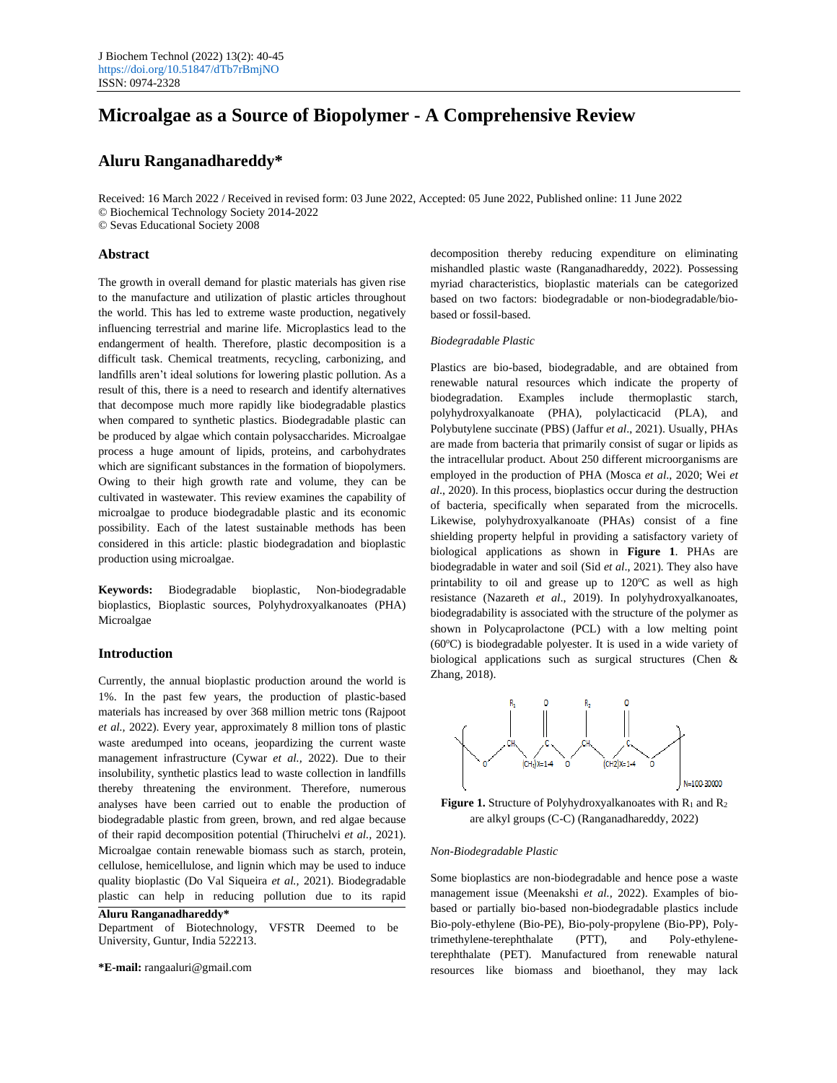# **Microalgae as a Source of Biopolymer - A Comprehensive Review**

# **Aluru Ranganadhareddy\***

Received: 16 March 2022 / Received in revised form: 03 June 2022, Accepted: 05 June 2022, Published online: 11 June 2022 © Biochemical Technology Society 2014-2022 © Sevas Educational Society 2008

#### **Abstract**

The growth in overall demand for plastic materials has given rise to the manufacture and utilization of plastic articles throughout the world. This has led to extreme waste production, negatively influencing terrestrial and marine life. Microplastics lead to the endangerment of health. Therefore, plastic decomposition is a difficult task. Chemical treatments, recycling, carbonizing, and landfills aren't ideal solutions for lowering plastic pollution. As a result of this, there is a need to research and identify alternatives that decompose much more rapidly like biodegradable plastics when compared to synthetic plastics. Biodegradable plastic can be produced by algae which contain polysaccharides. Microalgae process a huge amount of lipids, proteins, and carbohydrates which are significant substances in the formation of biopolymers. Owing to their high growth rate and volume, they can be cultivated in wastewater. This review examines the capability of microalgae to produce biodegradable plastic and its economic possibility. Each of the latest sustainable methods has been considered in this article: plastic biodegradation and bioplastic production using microalgae.

**Keywords:** Biodegradable bioplastic, Non-biodegradable bioplastics, Bioplastic sources, Polyhydroxyalkanoates (PHA) Microalgae

# **Introduction**

Currently, the annual bioplastic production around the world is 1%. In the past few years, the production of plastic-based materials has increased by over 368 million metric tons (Rajpoot *et al.,* 2022). Every year, approximately 8 million tons of plastic waste aredumped into oceans, jeopardizing the current waste management infrastructure (Cywar *et al.,* 2022). Due to their insolubility, synthetic plastics lead to waste collection in landfills thereby threatening the environment. Therefore, numerous analyses have been carried out to enable the production of biodegradable plastic from green, brown, and red algae because of their rapid decomposition potential (Thiruchelvi *et al.,* 2021). Microalgae contain renewable biomass such as starch, protein, cellulose, hemicellulose, and lignin which may be used to induce quality bioplastic (Do Val Siqueira *et al.,* 2021). Biodegradable plastic can help in reducing pollution due to its rapid

**Aluru Ranganadhareddy\***

Department of Biotechnology, VFSTR Deemed to be University, Guntur, India 522213.

**\*E-mail:** rangaaluri@gmail.com

decomposition thereby reducing expenditure on eliminating mishandled plastic waste (Ranganadhareddy, 2022). Possessing myriad characteristics, bioplastic materials can be categorized based on two factors: biodegradable or non-biodegradable/biobased or fossil-based.

# *Biodegradable Plastic*

Plastics are bio-based, biodegradable, and are obtained from renewable natural resources which indicate the property of biodegradation. Examples include thermoplastic starch, polyhydroxyalkanoate (PHA), polylacticacid (PLA), and Polybutylene succinate (PBS) (Jaffur *et al*., 2021). Usually, PHAs are made from bacteria that primarily consist of sugar or lipids as the intracellular product. About 250 different microorganisms are employed in the production of PHA (Mosca *et al*., 2020; Wei *et al*., 2020). In this process, bioplastics occur during the destruction of bacteria, specifically when separated from the microcells. Likewise, polyhydroxyalkanoate (PHAs) consist of a fine shielding property helpful in providing a satisfactory variety of biological applications as shown in **Figure 1**. PHAs are biodegradable in water and soil (Sid *et al*., 2021). They also have printability to oil and grease up to  $120^{\circ}$ C as well as high resistance (Nazareth *et al*., 2019). In polyhydroxyalkanoates, biodegradability is associated with the structure of the polymer as shown in Polycaprolactone (PCL) with a low melting point  $(60^{\circ}\text{C})$  is biodegradable polyester. It is used in a wide variety of biological applications such as surgical structures (Chen & Zhang, 2018).



Figure 1. Structure of Polyhydroxyalkanoates with R<sub>1</sub> and R<sub>2</sub> are alkyl groups (C-C) (Ranganadhareddy, 2022)

#### *Non-Biodegradable Plastic*

Some bioplastics are non-biodegradable and hence pose a waste management issue (Meenakshi *et al.,* 2022). Examples of biobased or partially bio-based non-biodegradable plastics include Bio-poly-ethylene (Bio-PE), Bio-poly-propylene (Bio-PP), Polytrimethylene-terephthalate (PTT), and Poly-ethyleneterephthalate (PET). Manufactured from renewable natural resources like biomass and bioethanol, they may lack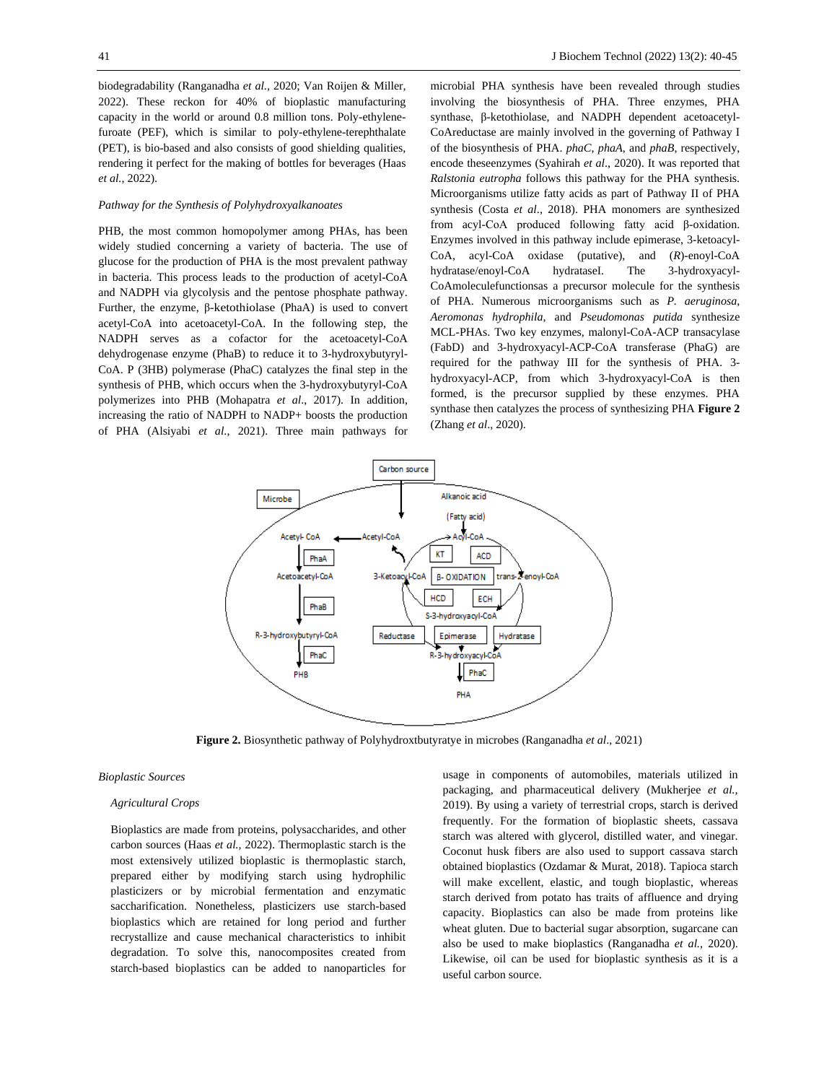biodegradability (Ranganadha *et al.,* 2020; Van Roijen & Miller*,* 2022). These reckon for 40% of bioplastic manufacturing capacity in the world or around 0.8 million tons. Poly-ethylenefuroate (PEF), which is similar to poly-ethylene-terephthalate (PET), is bio-based and also consists of good shielding qualities, rendering it perfect for the making of bottles for beverages (Haas *et al.,* 2022).

# *Pathway for the Synthesis of Polyhydroxyalkanoates*

PHB, the most common homopolymer among PHAs, has been widely studied concerning a variety of bacteria. The use of glucose for the production of PHA is the most prevalent pathway in bacteria. This process leads to the production of acetyl-CoA and NADPH via glycolysis and the pentose phosphate pathway. Further, the enzyme, β-ketothiolase (PhaA) is used to convert acetyl-CoA into acetoacetyl-CoA. In the following step, the NADPH serves as a cofactor for the acetoacetyl-CoA dehydrogenase enzyme (PhaB) to reduce it to 3-hydroxybutyryl-CoA. P (3HB) polymerase (PhaC) catalyzes the final step in the synthesis of PHB, which occurs when the 3-hydroxybutyryl-CoA polymerizes into PHB (Mohapatra *et al*., 2017). In addition, increasing the ratio of NADPH to NADP+ boosts the production of PHA (Alsiyabi *et al*., 2021). Three main pathways for

microbial PHA synthesis have been revealed through studies involving the biosynthesis of PHA. Three enzymes, PHA synthase, β-ketothiolase, and NADPH dependent acetoacetyl-CoAreductase are mainly involved in the governing of Pathway I of the biosynthesis of PHA. *phaC*, *phaA*, and *phaB*, respectively, encode theseenzymes (Syahirah *et al*., 2020). It was reported that *Ralstonia eutropha* follows this pathway for the PHA synthesis. Microorganisms utilize fatty acids as part of Pathway II of PHA synthesis (Costa *et al*., 2018). PHA monomers are synthesized from acyl-CoA produced following fatty acid β-oxidation. Enzymes involved in this pathway include epimerase, 3-ketoacyl-CoA, acyl-CoA oxidase (putative), and (*R*)-enoyl-CoA hydratase/enoyl-CoA hydrataseI. The 3-hydroxyacyl-CoAmoleculefunctionsas a precursor molecule for the synthesis of PHA. Numerous microorganisms such as *P. aeruginosa, Aeromonas hydrophila,* and *Pseudomonas putida* synthesize MCL-PHAs. Two key enzymes, malonyl-CoA-ACP transacylase (FabD) and 3-hydroxyacyl-ACP-CoA transferase (PhaG) are required for the pathway III for the synthesis of PHA. 3 hydroxyacyl-ACP, from which 3-hydroxyacyl-CoA is then formed, is the precursor supplied by these enzymes. PHA synthase then catalyzes the process of synthesizing PHA **Figure 2** (Zhang *et al*., 2020).



**Figure 2.** Biosynthetic pathway of Polyhydroxtbutyratye in microbes (Ranganadha *et al*., 2021)

## *Bioplastic Sources*

#### *Agricultural Crops*

Bioplastics are made from proteins, polysaccharides, and other carbon sources (Haas *et al.,* 2022). Thermoplastic starch is the most extensively utilized bioplastic is thermoplastic starch, prepared either by modifying starch using hydrophilic plasticizers or by microbial fermentation and enzymatic saccharification. Nonetheless, plasticizers use starch-based bioplastics which are retained for long period and further recrystallize and cause mechanical characteristics to inhibit degradation. To solve this, nanocomposites created from starch-based bioplastics can be added to nanoparticles for usage in components of automobiles, materials utilized in packaging, and pharmaceutical delivery (Mukherjee *et al.,* 2019). By using a variety of terrestrial crops, starch is derived frequently. For the formation of bioplastic sheets, cassava starch was altered with glycerol, distilled water, and vinegar. Coconut husk fibers are also used to support cassava starch obtained bioplastics (Ozdamar & Murat, 2018). Tapioca starch will make excellent, elastic, and tough bioplastic, whereas starch derived from potato has traits of affluence and drying capacity. Bioplastics can also be made from proteins like wheat gluten. Due to bacterial sugar absorption, sugarcane can also be used to make bioplastics (Ranganadha *et al.,* 2020). Likewise, oil can be used for bioplastic synthesis as it is a useful carbon source.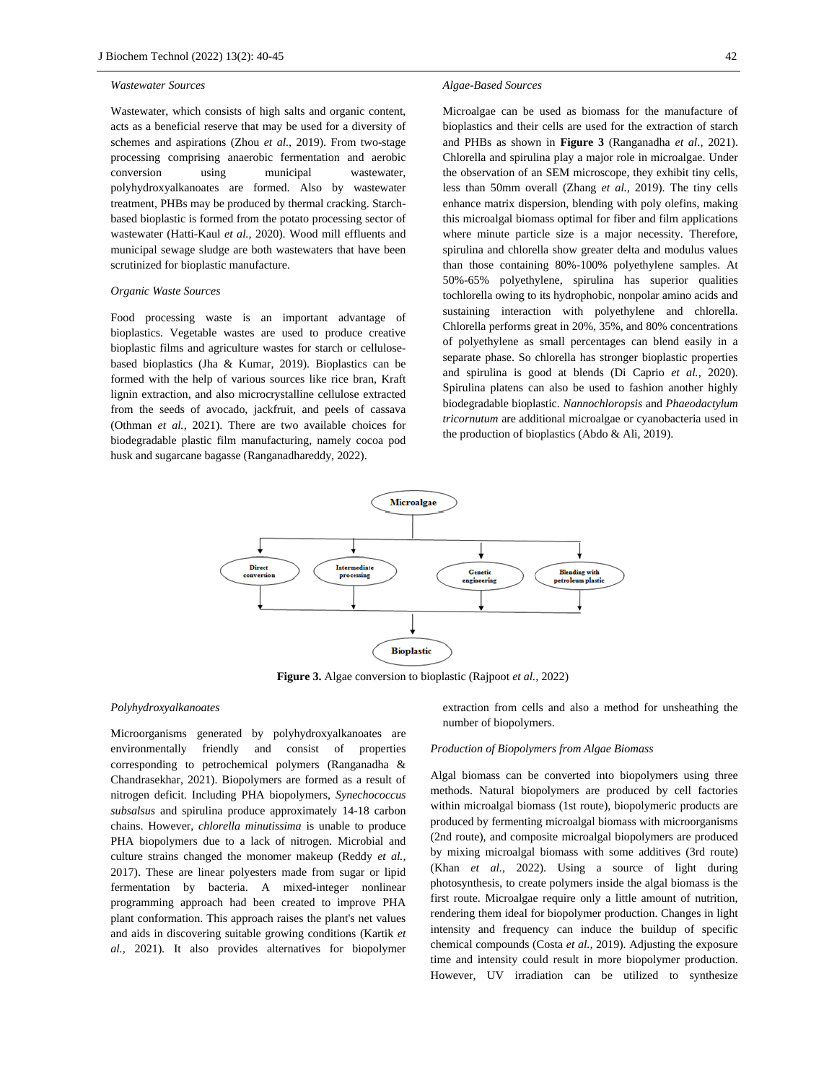#### *Wastewater Sources*

Wastewater, which consists of high salts and organic content, acts as a beneficial reserve that may be used for a diversity of schemes and aspirations (Zhou *et al.,* 2019). From two-stage processing comprising anaerobic fermentation and aerobic conversion using municipal wastewater, polyhydroxyalkanoates are formed. Also by wastewater treatment, PHBs may be produced by thermal cracking. Starchbased bioplastic is formed from the potato processing sector of wastewater (Hatti-Kaul *et al.,* 2020). Wood mill effluents and municipal sewage sludge are both wastewaters that have been scrutinized for bioplastic manufacture.

#### *Organic Waste Sources*

Food processing waste is an important advantage of bioplastics. Vegetable wastes are used to produce creative bioplastic films and agriculture wastes for starch or cellulosebased bioplastics (Jha & Kumar, 2019). Bioplastics can be formed with the help of various sources like rice bran, Kraft lignin extraction, and also microcrystalline cellulose extracted from the seeds of avocado, jackfruit, and peels of cassava (Othman *et al.,* 2021). There are two available choices for biodegradable plastic film manufacturing, namely cocoa pod husk and sugarcane bagasse (Ranganadhareddy, 2022).

#### *Algae-Based Sources*

Microalgae can be used as biomass for the manufacture of bioplastics and their cells are used for the extraction of starch and PHBs as shown in **Figure 3** (Ranganadha *et al*.*,* 2021). Chlorella and spirulina play a major role in microalgae. Under the observation of an SEM microscope, they exhibit tiny cells, less than 50mm overall (Zhang *et al.,* 2019). The tiny cells enhance matrix dispersion, blending with poly olefins, making this microalgal biomass optimal for fiber and film applications where minute particle size is a major necessity. Therefore, spirulina and chlorella show greater delta and modulus values than those containing 80%-100% polyethylene samples. At 50%-65% polyethylene, spirulina has superior qualities tochlorella owing to its hydrophobic, nonpolar amino acids and sustaining interaction with polyethylene and chlorella. Chlorella performs great in 20%, 35%, and 80% concentrations of polyethylene as small percentages can blend easily in a separate phase. So chlorella has stronger bioplastic properties and spirulina is good at blends (Di Caprio *et al.,* 2020). Spirulina platens can also be used to fashion another highly biodegradable bioplastic. *Nannochloropsis* and *Phaeodactylum tricornutum* are additional microalgae or cyanobacteria used in the production of bioplastics (Abdo & Ali, 2019).



**Figure 3.** Algae conversion to bioplastic (Rajpoot *et al.,* 2022)

### *Polyhydroxyalkanoates*

Microorganisms generated by polyhydroxyalkanoates are environmentally friendly and consist of properties corresponding to petrochemical polymers (Ranganadha & Chandrasekhar, 2021). Biopolymers are formed as a result of nitrogen deficit. Including PHA biopolymers, *Synechococcus subsalsus* and spirulina produce approximately 14-18 carbon chains. However, *chlorella minutissima* is unable to produce PHA biopolymers due to a lack of nitrogen. Microbial and culture strains changed the monomer makeup (Reddy *et al.,* 2017). These are linear polyesters made from sugar or lipid fermentation by bacteria. A mixed-integer nonlinear programming approach had been created to improve PHA plant conformation. This approach raises the plant's net values and aids in discovering suitable growing conditions (Kartik *et al.,* 2021). It also provides alternatives for biopolymer extraction from cells and also a method for unsheathing the number of biopolymers.

#### *Production of Biopolymers from Algae Biomass*

Algal biomass can be converted into biopolymers using three methods. Natural biopolymers are produced by cell factories within microalgal biomass (1st route), biopolymeric products are produced by fermenting microalgal biomass with microorganisms (2nd route), and composite microalgal biopolymers are produced by mixing microalgal biomass with some additives (3rd route) (Khan *et al.,* 2022). Using a source of light during photosynthesis, to create polymers inside the algal biomass is the first route. Microalgae require only a little amount of nutrition, rendering them ideal for biopolymer production. Changes in light intensity and frequency can induce the buildup of specific chemical compounds (Costa *et al.,* 2019). Adjusting the exposure time and intensity could result in more biopolymer production. However, UV irradiation can be utilized to synthesize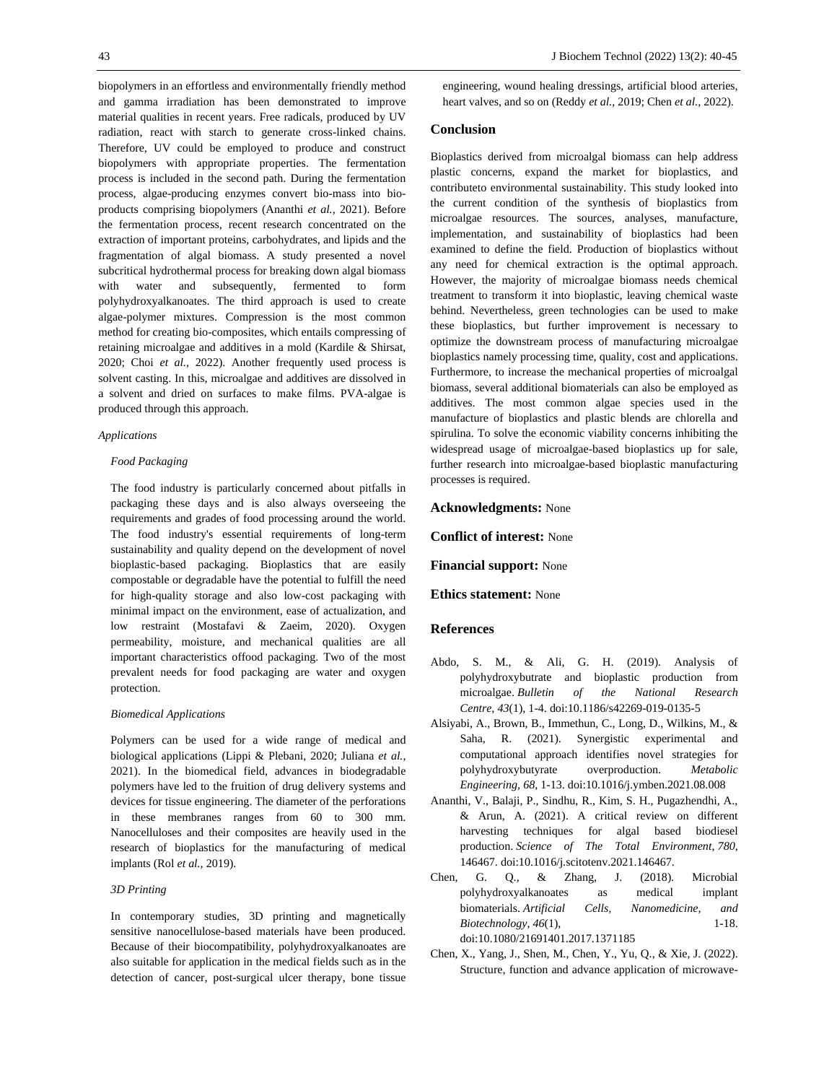biopolymers in an effortless and environmentally friendly method and gamma irradiation has been demonstrated to improve material qualities in recent years. Free radicals, produced by UV radiation, react with starch to generate cross-linked chains. Therefore, UV could be employed to produce and construct biopolymers with appropriate properties. The fermentation process is included in the second path. During the fermentation process, algae-producing enzymes convert bio-mass into bioproducts comprising biopolymers (Ananthi *et al.,* 2021). Before the fermentation process, recent research concentrated on the extraction of important proteins, carbohydrates, and lipids and the fragmentation of algal biomass. A study presented a novel subcritical hydrothermal process for breaking down algal biomass with water and subsequently, fermented to form polyhydroxyalkanoates. The third approach is used to create algae-polymer mixtures. Compression is the most common method for creating bio-composites, which entails compressing of retaining microalgae and additives in a mold (Kardile & Shirsat, 2020; Choi *et al.,* 2022). Another frequently used process is solvent casting. In this, microalgae and additives are dissolved in a solvent and dried on surfaces to make films. PVA-algae is produced through this approach.

#### *Applications*

# *Food Packaging*

The food industry is particularly concerned about pitfalls in packaging these days and is also always overseeing the requirements and grades of food processing around the world. The food industry's essential requirements of long-term sustainability and quality depend on the development of novel bioplastic-based packaging. Bioplastics that are easily compostable or degradable have the potential to fulfill the need for high-quality storage and also low-cost packaging with minimal impact on the environment, ease of actualization, and low restraint (Mostafavi & Zaeim, 2020). Oxygen permeability, moisture, and mechanical qualities are all important characteristics offood packaging. Two of the most prevalent needs for food packaging are water and oxygen protection.

#### *Biomedical Applications*

Polymers can be used for a wide range of medical and biological applications (Lippi & Plebani, 2020; Juliana *et al.,* 2021). In the biomedical field, advances in biodegradable polymers have led to the fruition of drug delivery systems and devices for tissue engineering. The diameter of the perforations in these membranes ranges from 60 to 300 mm. Nanocelluloses and their composites are heavily used in the research of bioplastics for the manufacturing of medical implants (Rol *et al.,* 2019).

#### *3D Printing*

In contemporary studies, 3D printing and magnetically sensitive nanocellulose-based materials have been produced. Because of their biocompatibility, polyhydroxyalkanoates are also suitable for application in the medical fields such as in the detection of cancer, post-surgical ulcer therapy, bone tissue engineering, wound healing dressings, artificial blood arteries, heart valves, and so on (Reddy *et al.,* 2019; Chen *et al.,* 2022).

# **Conclusion**

Bioplastics derived from microalgal biomass can help address plastic concerns, expand the market for bioplastics, and contributeto environmental sustainability. This study looked into the current condition of the synthesis of bioplastics from microalgae resources. The sources, analyses, manufacture, implementation, and sustainability of bioplastics had been examined to define the field. Production of bioplastics without any need for chemical extraction is the optimal approach. However, the majority of microalgae biomass needs chemical treatment to transform it into bioplastic, leaving chemical waste behind. Nevertheless, green technologies can be used to make these bioplastics, but further improvement is necessary to optimize the downstream process of manufacturing microalgae bioplastics namely processing time, quality, cost and applications. Furthermore, to increase the mechanical properties of microalgal biomass, several additional biomaterials can also be employed as additives. The most common algae species used in the manufacture of bioplastics and plastic blends are chlorella and spirulina. To solve the economic viability concerns inhibiting the widespread usage of microalgae-based bioplastics up for sale, further research into microalgae-based bioplastic manufacturing processes is required.

## **Acknowledgments:** None

**Conflict of interest:** None

**Financial support:** None

**Ethics statement:** None

# **References**

- Abdo, S. M., & Ali, G. H. (2019). Analysis of polyhydroxybutrate and bioplastic production from microalgae. *Bulletin of the National Research Centre*, *43*(1), 1-4. doi:10.1186/s42269-019-0135-5
- Alsiyabi, A., Brown, B., Immethun, C., Long, D., Wilkins, M., & Saha, R. (2021). Synergistic experimental and computational approach identifies novel strategies for polyhydroxybutyrate overproduction. *Metabolic Engineering, 68*, 1-13. doi:10.1016/j.ymben.2021.08.008
- Ananthi, V., Balaji, P., Sindhu, R., Kim, S. H., Pugazhendhi, A., & Arun, A. (2021). A critical review on different harvesting techniques for algal based biodiesel production. *Science of The Total Environment*, *780*, 146467. doi:10.1016/j.scitotenv.2021.146467.
- Chen, G. Q., & Zhang, J. (2018). Microbial polyhydroxyalkanoates as medical implant biomaterials. *Artificial Cells, Nanomedicine, and Biotechnology*, *46*(1), 1-18. doi:10.1080/21691401.2017.1371185
- Chen, X., Yang, J., Shen, M., Chen, Y., Yu, Q., & Xie, J. (2022). Structure, function and advance application of microwave-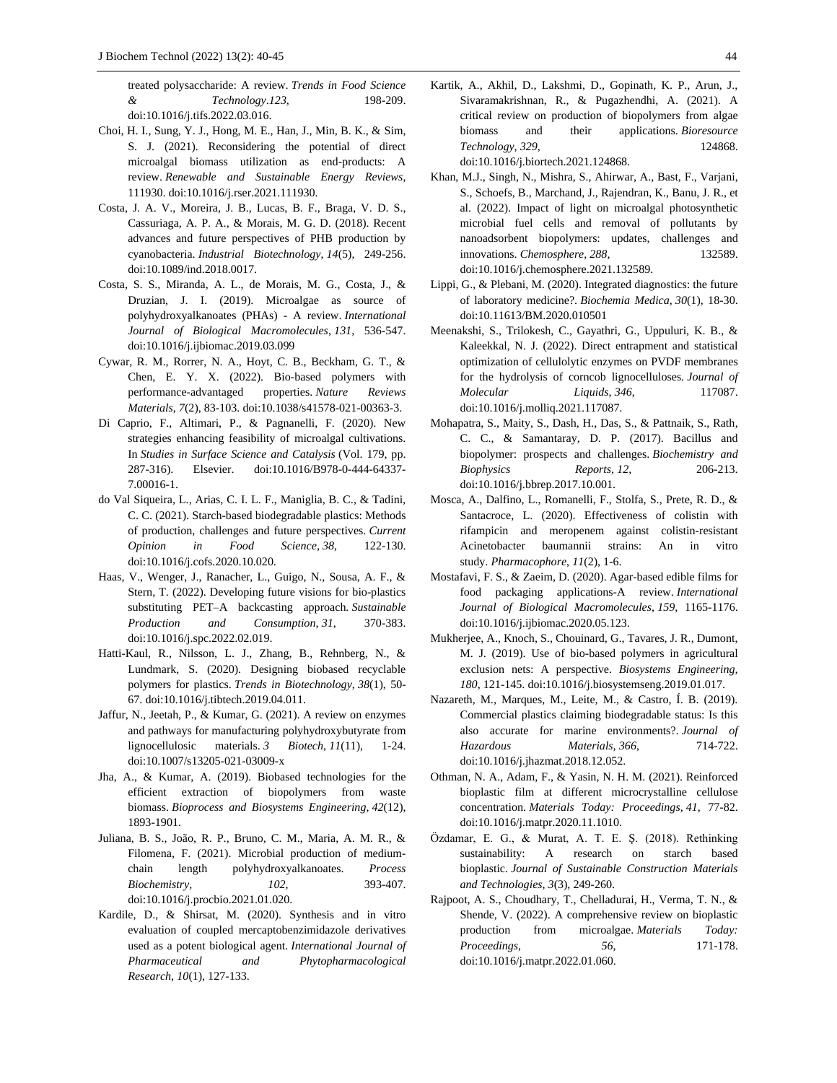treated polysaccharide: A review. *Trends in Food Science & Technology*.*123*, 198-209. doi:10.1016/j.tifs.2022.03.016.

- Choi, H. I., Sung, Y. J., Hong, M. E., Han, J., Min, B. K., & Sim, S. J. (2021). Reconsidering the potential of direct microalgal biomass utilization as end-products: A review. *Renewable and Sustainable Energy Reviews*, 111930. doi:10.1016/j.rser.2021.111930.
- Costa, J. A. V., Moreira, J. B., Lucas, B. F., Braga, V. D. S., Cassuriaga, A. P. A., & Morais, M. G. D. (2018). Recent advances and future perspectives of PHB production by cyanobacteria. *Industrial Biotechnology*, *14*(5), 249-256. doi:10.1089/ind.2018.0017.
- Costa, S. S., Miranda, A. L., de Morais, M. G., Costa, J., & Druzian, J. I. (2019). Microalgae as source of polyhydroxyalkanoates (PHAs) - A review. *International Journal of Biological Macromolecules*, *131*, 536-547. doi:10.1016/j.ijbiomac.2019.03.099
- Cywar, R. M., Rorrer, N. A., Hoyt, C. B., Beckham, G. T., & Chen, E. Y. X. (2022). Bio-based polymers with performance-advantaged properties. *Nature Reviews Materials*, *7*(2), 83-103. doi:10.1038/s41578-021-00363-3.
- Di Caprio, F., Altimari, P., & Pagnanelli, F. (2020). New strategies enhancing feasibility of microalgal cultivations. In *Studies in Surface Science and Catalysis* (Vol. 179, pp. 287-316). Elsevier. doi:10.1016/B978-0-444-64337- 7.00016-1.
- do Val Siqueira, L., Arias, C. I. L. F., Maniglia, B. C., & Tadini, C. C. (2021). Starch-based biodegradable plastics: Methods of production, challenges and future perspectives. *Current Opinion in Food Science*, *38*, 122-130. doi:10.1016/j.cofs.2020.10.020.
- Haas, V., Wenger, J., Ranacher, L., Guigo, N., Sousa, A. F., & Stern, T. (2022). Developing future visions for bio-plastics substituting PET–A backcasting approach. *Sustainable Production and Consumption*, *31*, 370-383. doi:10.1016/j.spc.2022.02.019.
- Hatti-Kaul, R., Nilsson, L. J., Zhang, B., Rehnberg, N., & Lundmark, S. (2020). Designing biobased recyclable polymers for plastics. *Trends in Biotechnology*, *38*(1), 50- 67. doi:10.1016/j.tibtech.2019.04.011.
- Jaffur, N., Jeetah, P., & Kumar, G. (2021). A review on enzymes and pathways for manufacturing polyhydroxybutyrate from lignocellulosic materials. *3 Biotech*, *11*(11), 1-24. [doi:10.1007/s13205-021-03009-x](https://doi.org/10.1007/s13205-021-03009-x)
- Jha, A., & Kumar, A. (2019). Biobased technologies for the efficient extraction of biopolymers from waste biomass. *Bioprocess and Biosystems Engineering*, *42*(12), 1893-1901.
- Juliana, B. S., João, R. P., Bruno, C. M., Maria, A. M. R., & Filomena, F. (2021). Microbial production of mediumchain length polyhydroxyalkanoates. *Process Biochemistry, 102*, 393-407. [doi:10.1016/j.procbio.2021.01.020.](https://doi.org/10.1016/j.procbio.2021.01.020)
- Kardile, D., & Shirsat, M. (2020). Synthesis and in vitro evaluation of coupled mercaptobenzimidazole derivatives used as a potent biological agent. *International Journal of Pharmaceutical and Phytopharmacological Research*, *10*(1), 127-133.

Kartik, A., Akhil, D., Lakshmi, D., Gopinath, K. P., Arun, J., Sivaramakrishnan, R., & Pugazhendhi, A. (2021). A critical review on production of biopolymers from algae biomass and their applications. *Bioresource Technology*, *329*, 124868.

[doi:10.1016/j.biortech.2021.124868.](https://doi.org/10.1016/j.biortech.2021.124868)

- Khan, M.J., Singh, N., Mishra, S., Ahirwar, A., Bast, F., Varjani, S., Schoefs, B., Marchand, J., Rajendran, K., Banu, J. R., et al. (2022). Impact of light on microalgal photosynthetic microbial fuel cells and removal of pollutants by nanoadsorbent biopolymers: updates, challenges and innovations. *Chemosphere*, *288*, 132589. doi:10.1016/j.chemosphere.2021.132589.
- Lippi, G., & Plebani, M. (2020). Integrated diagnostics: the future of laboratory medicine?. *Biochemia Medica*, *30*(1), 18-30. [doi:10.11613/BM.2020.010501](https://doi.org/10.11613/BM.2020.010501)
- Meenakshi, S., Trilokesh, C., Gayathri, G., Uppuluri, K. B., & Kaleekkal, N. J. (2022). Direct entrapment and statistical optimization of cellulolytic enzymes on PVDF membranes for the hydrolysis of corncob lignocelluloses. *Journal of Molecular Liquids*, *346*, 117087. doi:10.1016/j.molliq.2021.117087.
- Mohapatra, S., Maity, S., Dash, H., Das, S., & Pattnaik, S., Rath, C. C., & Samantaray, D. P. (2017). Bacillus and biopolymer: prospects and challenges. *Biochemistry and Biophysics Reports*, *12*, 206-213. doi:10.1016/j.bbrep.2017.10.001.
- Mosca, A., Dalfino, L., Romanelli, F., Stolfa, S., Prete, R. D., & Santacroce, L. (2020). Effectiveness of colistin with rifampicin and meropenem against colistin-resistant Acinetobacter baumannii strains: An in vitro study. *Pharmacophore*, *11*(2), 1-6.
- Mostafavi, F. S., & Zaeim, D. (2020). Agar-based edible films for food packaging applications-A review. *International Journal of Biological Macromolecules*, *159*, 1165-1176. doi:10.1016/j.ijbiomac.2020.05.123.
- Mukherjee, A., Knoch, S., Chouinard, G., Tavares, J. R., Dumont, M. J. (2019). Use of bio-based polymers in agricultural exclusion nets: A perspective. *Biosystems Engineering, 180*, 121-145. doi:10.1016/j.biosystemseng.2019.01.017.
- Nazareth, M., Marques, M., Leite, M., & Castro, Í. B. (2019). Commercial plastics claiming biodegradable status: Is this also accurate for marine environments?. *Journal of Hazardous Materials*, *366*, 714-722. doi:10.1016/j.jhazmat.2018.12.052.
- Othman, N. A., Adam, F., & Yasin, N. H. M. (2021). Reinforced bioplastic film at different microcrystalline cellulose concentration. *Materials Today: Proceedings*, *41*, 77-82. doi:10.1016/j.matpr.2020.11.1010.
- Özdamar, E. G., & Murat, A. T. E. Ş. (2018). Rethinking sustainability: A research on starch based bioplastic. *Journal of Sustainable Construction Materials and Technologies*, *3*(3), 249-260.
- Rajpoot, A. S., Choudhary, T., Chelladurai, H., Verma, T. N., & Shende, V. (2022). A comprehensive review on bioplastic production from microalgae. *Materials Today: Proceedings*, *56*, 171-178. doi:10.1016/j.matpr.2022.01.060.